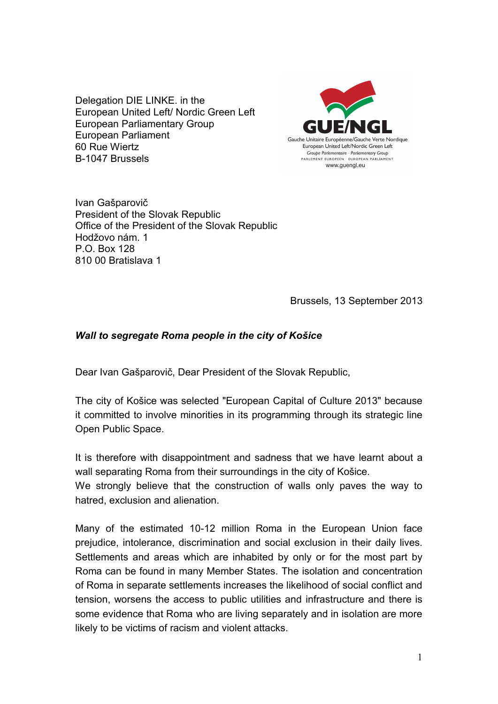Delegation DIE LINKE. in the European United Left/ Nordic Green Left European Parliamentary Group European Parliament 60 Rue Wiertz B-1047 Brussels



Ivan Gašparovič President of the Slovak Republic Office of the President of the Slovak Republic Hodžovo nám. 1 P.O. Box 128 810 00 Bratislava 1

Brussels, 13 September 2013

## *Wall to segregate Roma people in the city of Košice*

Dear Ivan Gašparovič, Dear President of the Slovak Republic,

The city of Košice was selected "European Capital of Culture 2013" because it committed to involve minorities in its programming through its strategic line Open Public Space.

It is therefore with disappointment and sadness that we have learnt about a wall separating Roma from their surroundings in the city of Košice.

We strongly believe that the construction of walls only paves the way to hatred, exclusion and alienation.

Many of the estimated 10-12 million Roma in the European Union face prejudice, intolerance, discrimination and social exclusion in their daily lives. Settlements and areas which are inhabited by only or for the most part by Roma can be found in many Member States. The isolation and concentration of Roma in separate settlements increases the likelihood of social conflict and tension, worsens the access to public utilities and infrastructure and there is some evidence that Roma who are living separately and in isolation are more likely to be victims of racism and violent attacks.